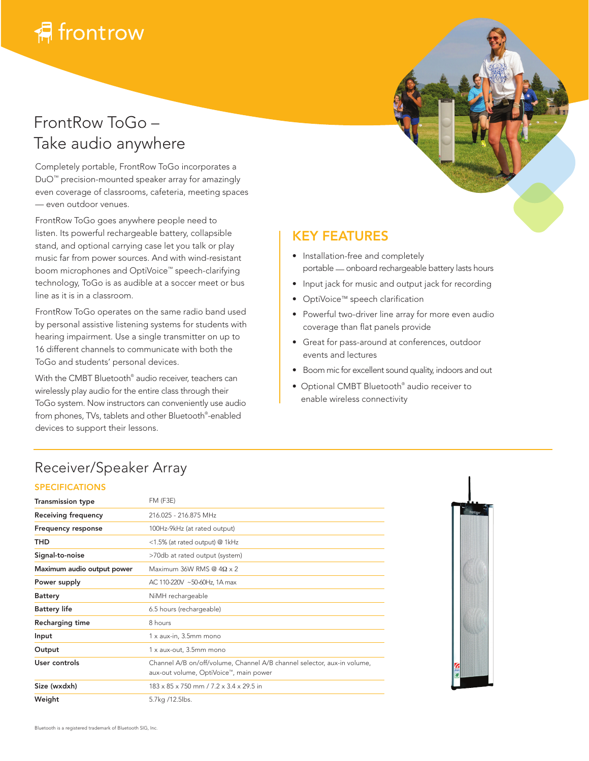## FrontRow ToGo – Take audio anywhere

Completely portable, FrontRow ToGo incorporates a DuO™ precision-mounted speaker array for amazingly even coverage of classrooms, cafeteria, meeting spaces — even outdoor venues.

FrontRow ToGo goes anywhere people need to listen. Its powerful rechargeable battery, collapsible stand, and optional carrying case let you talk or play music far from power sources. And with wind-resistant boom microphones and OptiVoice™ speech-clarifying technology, ToGo is as audible at a soccer meet or bus line as it is in a classroom.

FrontRow ToGo operates on the same radio band used by personal assistive listening systems for students with hearing impairment. Use a single transmitter on up to 16 different channels to communicate with both the ToGo and students' personal devices.

With the CMBT Bluetooth® audio receiver, teachers can wirelessly play audio for the entire class through their ToGo system. Now instructors can conveniently use audio from phones, TVs, tablets and other Bluetooth® -enabled devices to support their lessons.

### KEY FEATURES

- Installation-free and completely portable — onboard rechargeable battery lasts hours
- Input jack for music and output jack for recording
- OptiVoice™ speech clarification
- Powerful two-driver line array for more even audio coverage than flat panels provide
- Great for pass-around at conferences, outdoor events and lectures
- Boom mic for excellent sound quality, indoors and out
- Optional CMBT Bluetooth® audio receiver to enable wireless connectivity

## Receiver/Speaker Array

#### SPECIFICATIONS

| <b>Transmission type</b>   | <b>FM (F3E)</b>                                                                                                   |
|----------------------------|-------------------------------------------------------------------------------------------------------------------|
| Receiving frequency        | 216 025 - 216 875 MHz                                                                                             |
| <b>Frequency response</b>  | 100Hz-9kHz (at rated output)                                                                                      |
| THD                        | <1.5% (at rated output) @ 1kHz                                                                                    |
| Signal-to-noise            | >70db at rated output (system)                                                                                    |
| Maximum audio output power | Maximum 36W RMS @ $4\Omega \times 2$                                                                              |
| Power supply               | AC 110-220V ~50-60Hz, 1A max                                                                                      |
| <b>Battery</b>             | NiMH rechargeable                                                                                                 |
| <b>Battery life</b>        | 6.5 hours (rechargeable)                                                                                          |
| Recharging time            | 8 hours                                                                                                           |
| Input                      | 1 x aux-in, 3.5mm mono                                                                                            |
| Output                     | 1 x aux-out, 3.5mm mono                                                                                           |
| User controls              | Channel A/B on/off/volume, Channel A/B channel selector, aux-in volume,<br>aux-out volume, OptiVoice™, main power |
| Size (wxdxh)               | $183 \times 85 \times 750$ mm $/ 7.2 \times 3.4 \times 29.5$ in                                                   |
| Weight                     | 5.7kg /12.5lbs.                                                                                                   |